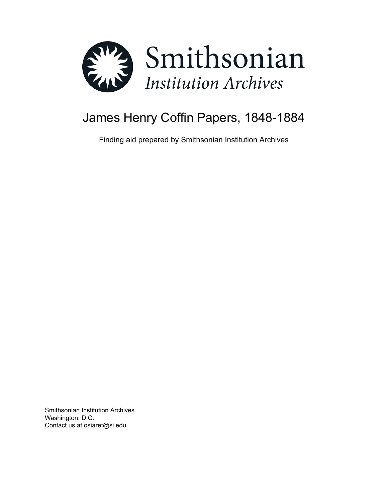

# James Henry Coffin Papers, 1848-1884

Finding aid prepared by Smithsonian Institution Archives

Smithsonian Institution Archives Washington, D.C. Contact us at osiaref@si.edu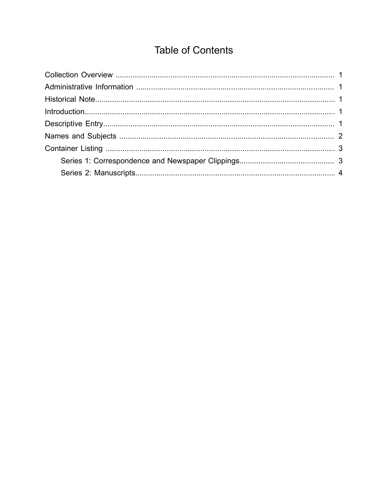# **Table of Contents**

<span id="page-1-0"></span>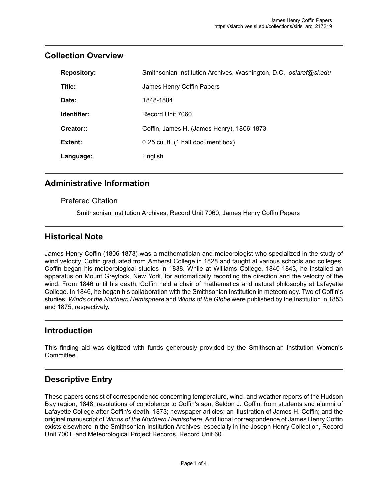| <b>Repository:</b> | Smithsonian Institution Archives, Washington, D.C., osiaref@si.edu |
|--------------------|--------------------------------------------------------------------|
| Title:             | James Henry Coffin Papers                                          |
| Date:              | 1848-1884                                                          |
| Identifier:        | Record Unit 7060                                                   |
| Creator::          | Coffin, James H. (James Henry), 1806-1873                          |
| Extent:            | 0.25 cu. ft. (1 half document box)                                 |
| Language:          | English                                                            |

#### <span id="page-2-0"></span>**Collection Overview**

#### <span id="page-2-1"></span>**Administrative Information**

#### Prefered Citation

Smithsonian Institution Archives, Record Unit 7060, James Henry Coffin Papers

#### <span id="page-2-2"></span>**Historical Note**

James Henry Coffin (1806-1873) was a mathematician and meteorologist who specialized in the study of wind velocity. Coffin graduated from Amherst College in 1828 and taught at various schools and colleges. Coffin began his meteorological studies in 1838. While at Williams College, 1840-1843, he installed an apparatus on Mount Greylock, New York, for automatically recording the direction and the velocity of the wind. From 1846 until his death, Coffin held a chair of mathematics and natural philosophy at Lafayette College. In 1846, he began his collaboration with the Smithsonian Institution in meteorology. Two of Coffin's studies, *Winds of the Northern Hemisphere* and *Winds of the Globe* were published by the Institution in 1853 and 1875, respectively.

#### <span id="page-2-3"></span>**Introduction**

This finding aid was digitized with funds generously provided by the Smithsonian Institution Women's Committee.

#### <span id="page-2-4"></span>**Descriptive Entry**

These papers consist of correspondence concerning temperature, wind, and weather reports of the Hudson Bay region, 1848; resolutions of condolence to Coffin's son, Seldon J. Coffin, from students and alumni of Lafayette College after Coffin's death, 1873; newspaper articles; an illustration of James H. Coffin; and the original manuscript of *Winds of the Northern Hemisphere*. Additional correspondence of James Henry Coffin exists elsewhere in the Smithsonian Institution Archives, especially in the Joseph Henry Collection, Record Unit 7001, and Meteorological Project Records, Record Unit 60.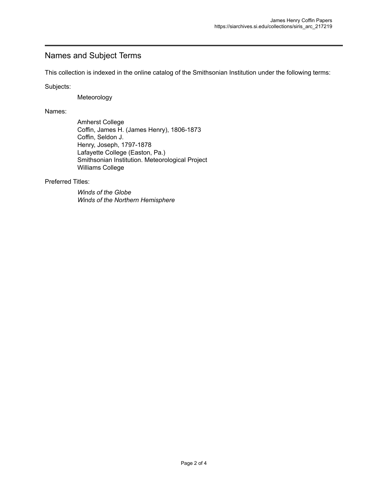#### <span id="page-3-0"></span>Names and Subject Terms

This collection is indexed in the online catalog of the Smithsonian Institution under the following terms:

Subjects:

Meteorology

Names:

Amherst College Coffin, James H. (James Henry), 1806-1873 Coffin, Seldon J. Henry, Joseph, 1797-1878 Lafayette College (Easton, Pa.) Smithsonian Institution. Meteorological Project Williams College

Preferred Titles:

*Winds of the Globe Winds of the Northern Hemisphere*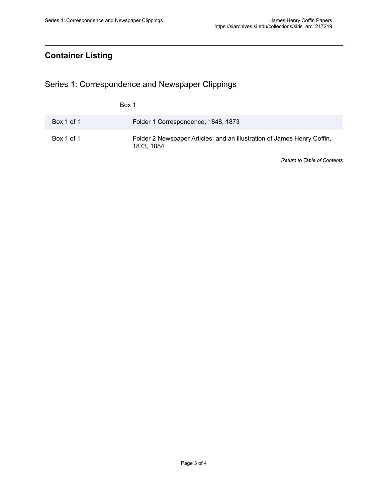## <span id="page-4-0"></span>**Container Listing**

<span id="page-4-1"></span>Series 1: Correspondence and Newspaper Clippings

|            | Box 1                                                                                 |
|------------|---------------------------------------------------------------------------------------|
| Box 1 of 1 | Folder 1 Correspondence, 1848, 1873                                                   |
| Box 1 of 1 | Folder 2 Newspaper Articles; and an illustration of James Henry Coffin,<br>1873, 1884 |

*Return to Table of [Contents](#page-1-0)*